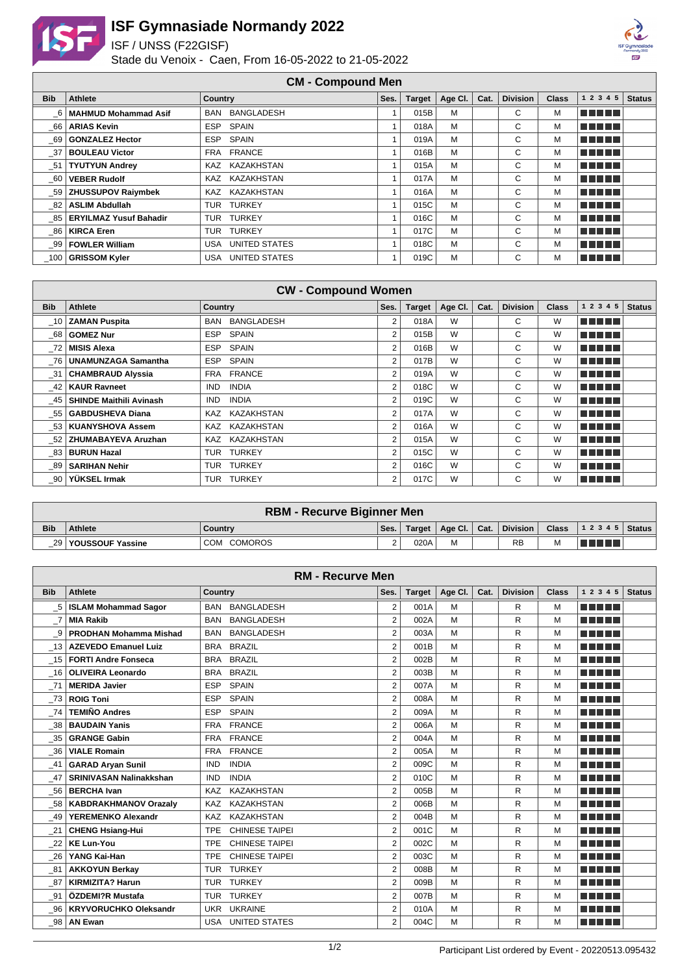

## **ISF Gymnasiade Normandy 2022**

ISF / UNSS (F22GISF)

Stade du Venoix - Caen, From 16-05-2022 to 21-05-2022



**CM - Compound Men**

| <del>-</del> |                               |                            |      |               |         |      |                 |              |            |               |
|--------------|-------------------------------|----------------------------|------|---------------|---------|------|-----------------|--------------|------------|---------------|
| <b>Bib</b>   | Athlete                       | Country                    | Ses. | <b>Target</b> | Age CI. | Cat. | <b>Division</b> | <b>Class</b> | 1 2 3 4 5  | <b>Status</b> |
| 6            | <b>MAHMUD Mohammad Asif</b>   | BAN BANGLADESH             |      | 015B          | M       |      | C               | м            | ma mata    |               |
| 66           | <b>ARIAS Kevin</b>            | <b>SPAIN</b><br><b>ESP</b> |      | 018A          | M       |      | С               | м            | a na mats  |               |
| 69           | <b>GONZALEZ Hector</b>        | SPAIN<br>ESP               |      | 019A          | M       |      | С               | м            | n na mats  |               |
| - 37         | <b>BOULEAU Victor</b>         | FRA FRANCE                 |      | 016B          | M       |      | C.              | м            | n na mata  |               |
| - 51         | <b>TYUTYUN Andrey</b>         | KAZ KAZAKHSTAN             |      | 015A          | M       |      | C               | м            | n na mats  |               |
| - 60         | <b>VEBER Rudolf</b>           | KAZ KAZAKHSTAN             |      | 017A          | M       |      | C               | M            | n din Film |               |
| - 59         | <b>ZHUSSUPOV Raiymbek</b>     | KAZ KAZAKHSTAN             |      | 016A          | M       |      | C               | м            | n na mats  |               |
| 82           | <b>ASLIM Abdullah</b>         | TUR TURKEY                 |      | 015C          | M       |      | C               | M            | n din bir  |               |
| 85           | <b>ERYILMAZ Yusuf Bahadir</b> | TUR TURKEY                 |      | 016C          | M       |      | С               | м            | n din na   |               |
|              | 86   KIRCA Eren               | <b>TURKEY</b><br>TUR       |      | 017C          | M       |      | C               | м            | n na mats  |               |
| 99           | FOWLER William                | UNITED STATES<br>USA       |      | 018C          | M       |      | С               | M            | n din na   |               |
|              | 100 GRISSOM Kyler             | USA UNITED STATES          |      | 019C          | M       |      | С               | м            | n din na   |               |

| <b>CW - Compound Women</b> |                                |                                 |                |               |         |      |                 |              |               |               |
|----------------------------|--------------------------------|---------------------------------|----------------|---------------|---------|------|-----------------|--------------|---------------|---------------|
| <b>Bib</b>                 | Athlete                        | Country                         | Ses.           | <b>Target</b> | Age Cl. | Cat. | <b>Division</b> | <b>Class</b> | 1 2 3 4 5     | <b>Status</b> |
| - 10                       | <b>ZAMAN Puspita</b>           | <b>BANGLADESH</b><br><b>BAN</b> | 2              | 018A          | W       |      | C               | W            | a da birni    |               |
| 68                         | <b>GOMEZ Nur</b>               | <b>SPAIN</b><br>ESP.            | 2              | 015B          | W       |      | C               | W            | a da birnin b |               |
| 72                         | <b>MISIS Alexa</b>             | <b>ESP</b><br><b>SPAIN</b>      | 2              | 016B          | W       |      | C               | W            | TI TITLE      |               |
| -76                        | <b>UNAMUNZAGA Samantha</b>     | SPAIN<br><b>ESP</b>             | $\overline{2}$ | 017B          | W       |      | C               | W            | a shekara     |               |
| - 31                       | <b>CHAMBRAUD Alyssia</b>       | FRA FRANCE                      | 2              | 019A          | W       |      | C               | W            | a da birni    |               |
| -42                        | <b>KAUR Ravneet</b>            | <b>INDIA</b><br>IND.            | 2              | 018C          | W       |      | C               | W            | a da birnin b |               |
| - 45                       | <b>SHINDE Maithili Avinash</b> | <b>IND</b><br><b>INDIA</b>      | 2              | 019C          | W       |      | C               | W            | M M M M M     |               |
| -55                        | <b>GABDUSHEVA Diana</b>        | KAZAKHSTAN<br><b>KAZ</b>        | $\overline{2}$ | 017A          | W       |      | C               | W            | a da birni    |               |
| - 53                       | <b>KUANYSHOVA Assem</b>        | KAZAKHSTAN<br>KAZ               | 2              | 016A          | W       |      | C               | W            | a da birni    |               |
| -52                        | <b>ZHUMABAYEVA Aruzhan</b>     | KAZ KAZAKHSTAN                  | 2              | 015A          | W       |      | C               | W            | M M M M M     |               |
| 83                         | <b>BURUN Hazal</b>             | <b>TURKEY</b><br>TUR            | 2              | 015C          | W       |      | C               | W            | TI TITLE      |               |
| 89                         | <b>SARIHAN Nehir</b>           | <b>TURKEY</b><br>TUR            | $\overline{2}$ | 016C          | W       |      | C               | W            | n di Tinggi   |               |
| -90                        | YÜKSEL Irmak                   | <b>TURKEY</b><br><b>TUR</b>     | 2              | 017C          | W       |      | C               | W            | n na mats     |               |

| <b>RBM - Recurve Biginner Men</b> |                       |             |        |        |   |  |           |   |                                                        |  |
|-----------------------------------|-----------------------|-------------|--------|--------|---|--|-----------|---|--------------------------------------------------------|--|
| <b>Bib</b>                        | <b>Athlete</b>        | Country     | Ses.   | Target |   |  |           |   | Age Cl.   Cat.   Division   Class   1 2 3 4 5   Status |  |
|                                   | 29   YOUSSOUF Yassine | COM COMOROS | $\sim$ | 020A   | M |  | <b>RB</b> | М | T F F F F                                              |  |

| <b>RM - Recurve Men</b> |                                |                                     |                |               |         |      |                 |              |             |               |
|-------------------------|--------------------------------|-------------------------------------|----------------|---------------|---------|------|-----------------|--------------|-------------|---------------|
| <b>Bib</b>              | <b>Athlete</b>                 | Country                             | Ses.           | <b>Target</b> | Age Cl. | Cat. | <b>Division</b> | <b>Class</b> | 1 2 3 4 5   | <b>Status</b> |
| $-5$                    | <b>ISLAM Mohammad Sagor</b>    | <b>BANGLADESH</b><br><b>BAN</b>     | $\overline{2}$ | 001A          | м       |      | R               | М            | n din bir   |               |
|                         | <b>MIA Rakib</b>               | <b>BANGLADESH</b><br><b>BAN</b>     | 2              | 002A          | M       |      | R               | M            | n di Tinggi |               |
| $_{-9}$                 | <b>PRODHAN Mohamma Mishad</b>  | <b>BANGLADESH</b><br><b>BAN</b>     | $\overline{2}$ | 003A          | M       |      | R               | M            | n din bin   |               |
| $\_13$                  | <b>AZEVEDO Emanuel Luiz</b>    | <b>BRAZIL</b><br><b>BRA</b>         | $\overline{2}$ | 001B          | M       |      | R               | М            | n din bin   |               |
| $-15$                   | <b>FORTI Andre Fonseca</b>     | <b>BRAZIL</b><br><b>BRA</b>         | $\overline{2}$ | 002B          | M       |      | R               | M            | n din bir   |               |
| 16                      | <b>OLIVEIRA Leonardo</b>       | <b>BRAZIL</b><br><b>BRA</b>         | $\overline{2}$ | 003B          | M       |      | R               | M            | n di Titolo |               |
| $-71$                   | <b>MERIDA Javier</b>           | <b>SPAIN</b><br><b>ESP</b>          | $\overline{2}$ | 007A          | M       |      | R               | M            | ma mata     |               |
| $-73$                   | <b>ROIG Toni</b>               | <b>ESP</b><br><b>SPAIN</b>          | $\overline{2}$ | 008A          | M       |      | R               | M            | <u> Tan</u> |               |
| -74                     | <b>TEMIÑO Andres</b>           | <b>ESP</b><br><b>SPAIN</b>          | $\overline{2}$ | 009A          | M       |      | R               | M            | n din bir   |               |
| $-38$                   | <b>BAUDAIN Yanis</b>           | <b>FRANCE</b><br><b>FRA</b>         | $\overline{2}$ | 006A          | M       |      | R               | M            | n di Tinggi |               |
| $-35$                   | <b>GRANGE Gabin</b>            | <b>FRANCE</b><br><b>FRA</b>         | $\overline{2}$ | 004A          | M       |      | R               | М            | n din bir   |               |
| $-36$                   | <b>VIALE Romain</b>            | <b>FRANCE</b><br><b>FRA</b>         | $\overline{2}$ | 005A          | M       |      | R               | M            | n din bin   |               |
| $-41$                   | <b>GARAD Aryan Sunil</b>       | <b>INDIA</b><br><b>IND</b>          | $\overline{2}$ | 009C          | М       |      | R               | М            | a a shekar  |               |
| $-47$                   | <b>SRINIVASAN Nalinakkshan</b> | <b>INDIA</b><br><b>IND</b>          | $\overline{2}$ | 010C          | M       |      | R               | М            | n din bir   |               |
| $-56$                   | <b>BERCHA Ivan</b>             | <b>KAZAKHSTAN</b><br>KAZ            | $\overline{2}$ | 005B          | M       |      | R               | M            | M N N N N   |               |
| $\_58$                  | <b>KABDRAKHMANOV Orazaly</b>   | <b>KAZAKHSTAN</b><br><b>KAZ</b>     | $\overline{2}$ | 006B          | M       |      | R               | М            | a a shekar  |               |
| $-49$                   | YEREMENKO Alexandr             | <b>KAZAKHSTAN</b><br><b>KAZ</b>     | 2              | 004B          | M       |      | R               | M            | MA MARIT    |               |
| $_{21}$                 | <b>CHENG Hsiang-Hui</b>        | <b>CHINESE TAIPEI</b><br><b>TPE</b> | $\overline{2}$ | 001C          | M       |      | R               | M            | n na mata   |               |
| 22                      | <b>KE Lun-You</b>              | <b>CHINESE TAIPEI</b><br><b>TPE</b> | 2              | 002C          | M       |      | R               | M            | a shekara   |               |
| $-26$                   | YANG Kai-Han                   | <b>CHINESE TAIPEI</b><br><b>TPE</b> | 2              | 003C          | M       |      | R               | M            | n din bir   |               |
| $\_81$                  | <b>AKKOYUN Berkay</b>          | <b>TURKEY</b><br><b>TUR</b>         | $\overline{2}$ | 008B          | M       |      | R               | M            | T FITTER    |               |
| $-87$                   | <b>KIRMIZITA? Harun</b>        | <b>TURKEY</b><br><b>TUR</b>         | $\overline{2}$ | 009B          | M       |      | R               | М            | a shekara   |               |
| $-91$                   | ÖZDEMI?R Mustafa               | <b>TURKEY</b><br><b>TUR</b>         | 2              | 007B          | M       |      | R               | М            | n din bir   |               |
| $\_96$                  | <b>KRYVORUCHKO Oleksandr</b>   | <b>UKRAINE</b><br><b>UKR</b>        | $\overline{2}$ | 010A          | M       |      | R               | М            | a propinsi  |               |
| $_{-98}$                | <b>AN Ewan</b>                 | <b>UNITED STATES</b><br><b>USA</b>  | $\overline{2}$ | 004C          | M       |      | R               | M            | n di Tinggi |               |